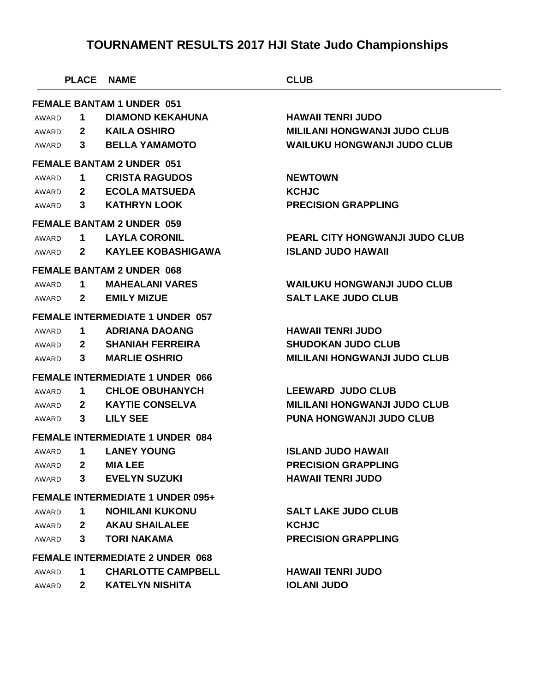|                                         | <b>PLACE</b>                     | <b>NAME</b>                            | <b>CLUB</b>                           |  |  |  |
|-----------------------------------------|----------------------------------|----------------------------------------|---------------------------------------|--|--|--|
| <b>FEMALE BANTAM 1 UNDER 051</b>        |                                  |                                        |                                       |  |  |  |
| AWARD                                   | 1                                | <b>DIAMOND KEKAHUNA</b>                | <b>HAWAII TENRI JUDO</b>              |  |  |  |
| AWARD                                   | $\mathbf{2}$                     | <b>KAILA OSHIRO</b>                    | <b>MILILANI HONGWANJI JUDO CLUB</b>   |  |  |  |
| AWARD                                   | 3                                | <b>BELLA YAMAMOTO</b>                  | <b>WAILUKU HONGWANJI JUDO CLUB</b>    |  |  |  |
|                                         | <b>FEMALE BANTAM 2 UNDER 051</b> |                                        |                                       |  |  |  |
| AWARD                                   | 1                                | <b>CRISTA RAGUDOS</b>                  | <b>NEWTOWN</b>                        |  |  |  |
| AWARD                                   | $\mathbf{2}$                     | <b>ECOLA MATSUEDA</b>                  | <b>KCHJC</b>                          |  |  |  |
| AWARD                                   | 3                                | <b>KATHRYN LOOK</b>                    | <b>PRECISION GRAPPLING</b>            |  |  |  |
|                                         |                                  | <b>FEMALE BANTAM 2 UNDER 059</b>       |                                       |  |  |  |
| AWARD                                   | 1                                | <b>LAYLA CORONIL</b>                   | <b>PEARL CITY HONGWANJI JUDO CLUB</b> |  |  |  |
| AWARD                                   | $\mathbf{2}$                     | <b>KAYLEE KOBASHIGAWA</b>              | <b>ISLAND JUDO HAWAII</b>             |  |  |  |
|                                         |                                  | <b>FEMALE BANTAM 2 UNDER 068</b>       |                                       |  |  |  |
| AWARD                                   | 1                                | <b>MAHEALANI VARES</b>                 | <b>WAILUKU HONGWANJI JUDO CLUB</b>    |  |  |  |
| AWARD                                   | $\mathbf{2}$                     | <b>EMILY MIZUE</b>                     | <b>SALT LAKE JUDO CLUB</b>            |  |  |  |
|                                         |                                  | <b>FEMALE INTERMEDIATE 1 UNDER 057</b> |                                       |  |  |  |
| AWARD                                   | 1                                | <b>ADRIANA DAOANG</b>                  | <b>HAWAII TENRI JUDO</b>              |  |  |  |
| AWARD                                   | $\mathbf{2}$                     | <b>SHANIAH FERREIRA</b>                | <b>SHUDOKAN JUDO CLUB</b>             |  |  |  |
| AWARD                                   | 3                                | <b>MARLIE OSHRIO</b>                   | <b>MILILANI HONGWANJI JUDO CLUB</b>   |  |  |  |
|                                         |                                  | <b>FEMALE INTERMEDIATE 1 UNDER 066</b> |                                       |  |  |  |
| AWARD                                   | 1                                | <b>CHLOE OBUHANYCH</b>                 | <b>LEEWARD JUDO CLUB</b>              |  |  |  |
| AWARD                                   | $\mathbf{2}$                     | <b>KAYTIE CONSELVA</b>                 | <b>MILILANI HONGWANJI JUDO CLUB</b>   |  |  |  |
| AWARD                                   | 3                                | <b>LILY SEE</b>                        | <b>PUNA HONGWANJI JUDO CLUB</b>       |  |  |  |
|                                         |                                  | <b>FEMALE INTERMEDIATE 1 UNDER 084</b> |                                       |  |  |  |
| AWARD                                   | 1                                | <b>LANEY YOUNG</b>                     | <b>ISLAND JUDO HAWAII</b>             |  |  |  |
| AWARD                                   | $\mathbf{2}$                     | <b>MIA LEE</b>                         | <b>PRECISION GRAPPLING</b>            |  |  |  |
| AWARD                                   | $\mathbf{3}$                     | <b>EVELYN SUZUKI</b>                   | <b>HAWAII TENRI JUDO</b>              |  |  |  |
| <b>FEMALE INTERMEDIATE 1 UNDER 095+</b> |                                  |                                        |                                       |  |  |  |
| AWARD                                   | 1.                               | <b>NOHILANI KUKONU</b>                 | <b>SALT LAKE JUDO CLUB</b>            |  |  |  |
| AWARD                                   | $\mathbf{2}$                     | <b>AKAU SHAILALEE</b>                  | <b>KCHJC</b>                          |  |  |  |
| AWARD                                   | 3                                | <b>TORI NAKAMA</b>                     | <b>PRECISION GRAPPLING</b>            |  |  |  |
|                                         |                                  | <b>FEMALE INTERMEDIATE 2 UNDER 068</b> |                                       |  |  |  |
| AWARD                                   | 1                                | <b>CHARLOTTE CAMPBELL</b>              | <b>HAWAII TENRI JUDO</b>              |  |  |  |
| AWARD                                   | $\mathbf{2}$                     | <b>KATELYN NISHITA</b>                 | <b>IOLANI JUDO</b>                    |  |  |  |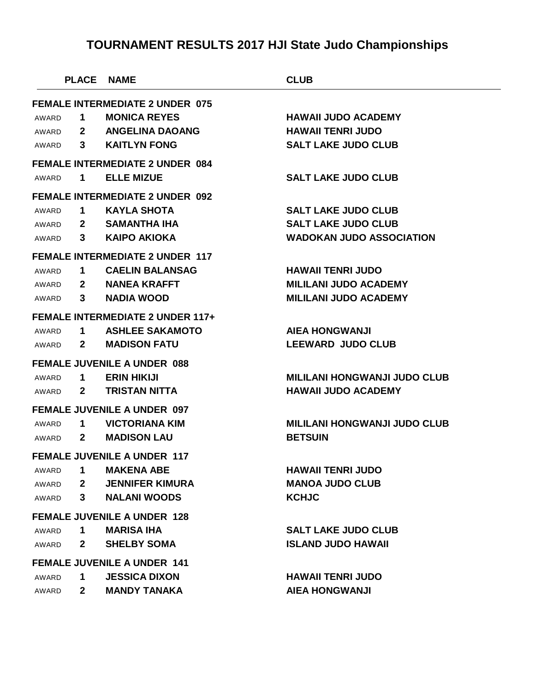|                                        | <b>PLACE</b>   | <b>NAME</b>                             | <b>CLUB</b>                         |  |
|----------------------------------------|----------------|-----------------------------------------|-------------------------------------|--|
| <b>FEMALE INTERMEDIATE 2 UNDER 075</b> |                |                                         |                                     |  |
| AWARD                                  | 1              | <b>MONICA REYES</b>                     | <b>HAWAII JUDO ACADEMY</b>          |  |
| AWARD                                  | $\mathbf{2}$   | <b>ANGELINA DAOANG</b>                  | <b>HAWAII TENRI JUDO</b>            |  |
| AWARD                                  | 3              | <b>KAITLYN FONG</b>                     | <b>SALT LAKE JUDO CLUB</b>          |  |
|                                        |                | <b>FEMALE INTERMEDIATE 2 UNDER 084</b>  |                                     |  |
| AWARD                                  | 1              | <b>ELLE MIZUE</b>                       | <b>SALT LAKE JUDO CLUB</b>          |  |
|                                        |                | <b>FEMALE INTERMEDIATE 2 UNDER 092</b>  |                                     |  |
| AWARD                                  | 1              | <b>KAYLA SHOTA</b>                      | <b>SALT LAKE JUDO CLUB</b>          |  |
| AWARD                                  | $2^{\circ}$    | <b>SAMANTHA IHA</b>                     | <b>SALT LAKE JUDO CLUB</b>          |  |
| AWARD                                  | $3^{\circ}$    | <b>KAIPO AKIOKA</b>                     | <b>WADOKAN JUDO ASSOCIATION</b>     |  |
|                                        |                | <b>FEMALE INTERMEDIATE 2 UNDER 117</b>  |                                     |  |
| AWARD                                  | 1              | <b>CAELIN BALANSAG</b>                  | <b>HAWAII TENRI JUDO</b>            |  |
| AWARD                                  | $\mathbf{2}$   | <b>NANEA KRAFFT</b>                     | <b>MILILANI JUDO ACADEMY</b>        |  |
| AWARD                                  | 3 <sup>1</sup> | <b>NADIA WOOD</b>                       | <b>MILILANI JUDO ACADEMY</b>        |  |
|                                        |                | <b>FEMALE INTERMEDIATE 2 UNDER 117+</b> |                                     |  |
| AWARD                                  | 1              | <b>ASHLEE SAKAMOTO</b>                  | <b>AIEA HONGWANJI</b>               |  |
| AWARD                                  | $\mathbf{2}$   | <b>MADISON FATU</b>                     | <b>LEEWARD JUDO CLUB</b>            |  |
|                                        |                | <b>FEMALE JUVENILE A UNDER 088</b>      |                                     |  |
| AWARD                                  | 1              | <b>ERIN HIKIJI</b>                      | <b>MILILANI HONGWANJI JUDO CLUB</b> |  |
| AWARD                                  | $\mathbf{2}$   | <b>TRISTAN NITTA</b>                    | <b>HAWAII JUDO ACADEMY</b>          |  |
|                                        |                | <b>FEMALE JUVENILE A UNDER 097</b>      |                                     |  |
| AWARD                                  | 1              | <b>VICTORIANA KIM</b>                   | <b>MILILANI HONGWANJI JUDO CLUB</b> |  |
| AWARD                                  | $\mathbf{2}$   | <b>MADISON LAU</b>                      | <b>BETSUIN</b>                      |  |
|                                        |                | <b>FEMALE JUVENILE A UNDER 117</b>      |                                     |  |
| AWARD                                  | 1              | <b>MAKENA ABE</b>                       | <b>HAWAII TENRI JUDO</b>            |  |
| AWARD                                  | 2 <sup>1</sup> | <b>JENNIFER KIMURA</b>                  | <b>MANOA JUDO CLUB</b>              |  |
| AWARD                                  | $3^{\circ}$    | <b>NALANI WOODS</b>                     | <b>KCHJC</b>                        |  |
| <b>FEMALE JUVENILE A UNDER 128</b>     |                |                                         |                                     |  |
| AWARD                                  | 1.             | <b>MARISA IHA</b>                       | <b>SALT LAKE JUDO CLUB</b>          |  |
| AWARD                                  | $\mathbf{2}$   | <b>SHELBY SOMA</b>                      | <b>ISLAND JUDO HAWAII</b>           |  |
| <b>FEMALE JUVENILE A UNDER 141</b>     |                |                                         |                                     |  |
| AWARD                                  | 1              | <b>JESSICA DIXON</b>                    | <b>HAWAII TENRI JUDO</b>            |  |
| AWARD                                  | $\mathbf{2}$   | <b>MANDY TANAKA</b>                     | <b>AIEA HONGWANJI</b>               |  |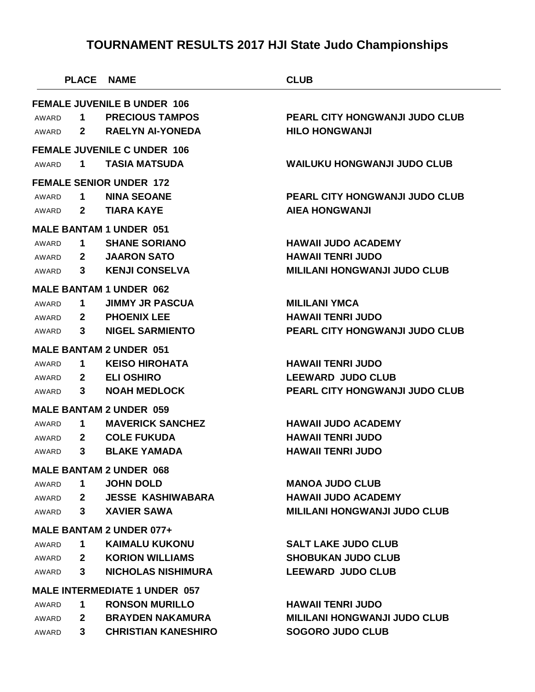|                                      | <b>PLACE</b> | <b>NAME</b>                        | <b>CLUB</b>                           |  |
|--------------------------------------|--------------|------------------------------------|---------------------------------------|--|
|                                      |              | <b>FEMALE JUVENILE B UNDER 106</b> |                                       |  |
| AWARD                                | 1            | <b>PRECIOUS TAMPOS</b>             | <b>PEARL CITY HONGWANJI JUDO CLUB</b> |  |
| AWARD                                | $\mathbf{2}$ | <b>RAELYN AI-YONEDA</b>            | <b>HILO HONGWANJI</b>                 |  |
|                                      |              | <b>FEMALE JUVENILE C UNDER 106</b> |                                       |  |
| AWARD                                | 1            | <b>TASIA MATSUDA</b>               | <b>WAILUKU HONGWANJI JUDO CLUB</b>    |  |
|                                      |              |                                    |                                       |  |
|                                      |              | <b>FEMALE SENIOR UNDER 172</b>     |                                       |  |
| AWARD                                | $\mathbf 1$  | <b>NINA SEOANE</b>                 | <b>PEARL CITY HONGWANJI JUDO CLUB</b> |  |
| AWARD                                | $2^{\circ}$  | <b>TIARA KAYE</b>                  | <b>AIEA HONGWANJI</b>                 |  |
|                                      |              | <b>MALE BANTAM 1 UNDER 051</b>     |                                       |  |
| AWARD                                | $\mathbf 1$  | <b>SHANE SORIANO</b>               | <b>HAWAII JUDO ACADEMY</b>            |  |
| AWARD                                | $\mathbf{2}$ | <b>JAARON SATO</b>                 | <b>HAWAII TENRI JUDO</b>              |  |
| AWARD                                | 3            | <b>KENJI CONSELVA</b>              | <b>MILILANI HONGWANJI JUDO CLUB</b>   |  |
|                                      |              | <b>MALE BANTAM 1 UNDER 062</b>     |                                       |  |
| AWARD                                | 1            | <b>JIMMY JR PASCUA</b>             | <b>MILILANI YMCA</b>                  |  |
| AWARD                                | $\mathbf{2}$ | <b>PHOENIX LEE</b>                 | <b>HAWAII TENRI JUDO</b>              |  |
| AWARD                                | 3            | <b>NIGEL SARMIENTO</b>             | PEARL CITY HONGWANJI JUDO CLUB        |  |
|                                      |              | <b>MALE BANTAM 2 UNDER 051</b>     |                                       |  |
| AWARD                                | 1            | <b>KEISO HIROHATA</b>              | <b>HAWAII TENRI JUDO</b>              |  |
| AWARD                                | $2^{\circ}$  | <b>ELI OSHIRO</b>                  | <b>LEEWARD JUDO CLUB</b>              |  |
| AWARD                                | 3            | <b>NOAH MEDLOCK</b>                | <b>PEARL CITY HONGWANJI JUDO CLUB</b> |  |
|                                      |              | <b>MALE BANTAM 2 UNDER 059</b>     |                                       |  |
| AWARD                                | 1            | <b>MAVERICK SANCHEZ</b>            | <b>HAWAII JUDO ACADEMY</b>            |  |
| AWARD                                | $\mathbf{2}$ | <b>COLE FUKUDA</b>                 | <b>HAWAII TENRI JUDO</b>              |  |
| AWARD                                | 3            | <b>BLAKE YAMADA</b>                | <b>HAWAII TENRI JUDO</b>              |  |
|                                      |              | <b>MALE BANTAM 2 UNDER 068</b>     |                                       |  |
| AWARD                                | $\mathbf 1$  | <b>JOHN DOLD</b>                   | <b>MANOA JUDO CLUB</b>                |  |
| AWARD                                | $\mathbf{2}$ | <b>JESSE KASHIWABARA</b>           | <b>HAWAII JUDO ACADEMY</b>            |  |
| AWARD                                |              | 3 XAVIER SAWA                      | <b>MILILANI HONGWANJI JUDO CLUB</b>   |  |
| <b>MALE BANTAM 2 UNDER 077+</b>      |              |                                    |                                       |  |
| AWARD                                | $\mathbf 1$  | <b>KAIMALU KUKONU</b>              | <b>SALT LAKE JUDO CLUB</b>            |  |
| AWARD                                |              | 2 KORION WILLIAMS                  | <b>SHOBUKAN JUDO CLUB</b>             |  |
| AWARD                                | $3^{\circ}$  | <b>NICHOLAS NISHIMURA</b>          | <b>LEEWARD JUDO CLUB</b>              |  |
| <b>MALE INTERMEDIATE 1 UNDER 057</b> |              |                                    |                                       |  |
| AWARD                                | $\mathbf 1$  | <b>RONSON MURILLO</b>              | <b>HAWAII TENRI JUDO</b>              |  |
| AWARD                                | $\mathbf{2}$ | BRAYDEN NAKAMURA                   | <b>MILILANI HONGWANJI JUDO CLUB</b>   |  |
| AWARD                                | $3^{\circ}$  | <b>CHRISTIAN KANESHIRO</b>         | <b>SOGORO JUDO CLUB</b>               |  |
|                                      |              |                                    |                                       |  |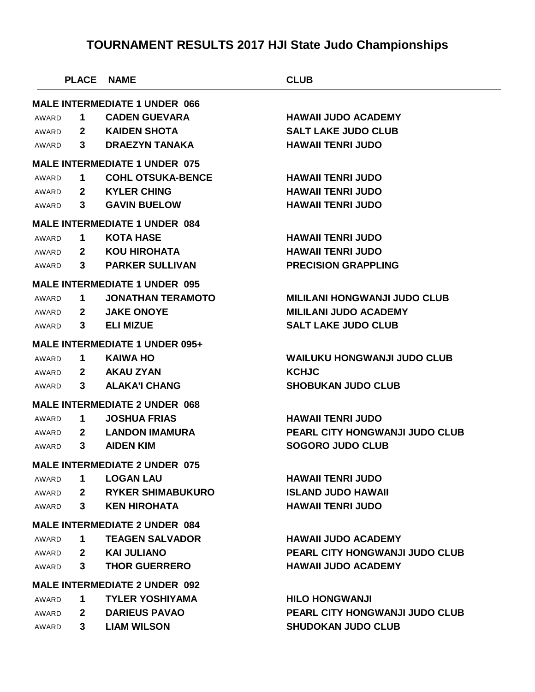|                                      | <b>PLACE</b> | <b>NAME</b>                           | <b>CLUB</b>                           |  |
|--------------------------------------|--------------|---------------------------------------|---------------------------------------|--|
| <b>MALE INTERMEDIATE 1 UNDER 066</b> |              |                                       |                                       |  |
| AWARD                                | 1            | <b>CADEN GUEVARA</b>                  | <b>HAWAII JUDO ACADEMY</b>            |  |
| AWARD                                | $\mathbf{2}$ | <b>KAIDEN SHOTA</b>                   | <b>SALT LAKE JUDO CLUB</b>            |  |
| AWARD                                | $3^{\circ}$  | <b>DRAEZYN TANAKA</b>                 | <b>HAWAII TENRI JUDO</b>              |  |
|                                      |              | <b>MALE INTERMEDIATE 1 UNDER 075</b>  |                                       |  |
| AWARD                                | 1            | <b>COHL OTSUKA-BENCE</b>              | <b>HAWAII TENRI JUDO</b>              |  |
| AWARD                                |              | 2 KYLER CHING                         | <b>HAWAII TENRI JUDO</b>              |  |
| AWARD                                | $3^{\circ}$  | <b>GAVIN BUELOW</b>                   | <b>HAWAII TENRI JUDO</b>              |  |
|                                      |              | <b>MALE INTERMEDIATE 1 UNDER 084</b>  |                                       |  |
| AWARD                                | 1            | <b>KOTA HASE</b>                      | <b>HAWAII TENRI JUDO</b>              |  |
| AWARD                                |              | 2 KOU HIROHATA                        | <b>HAWAII TENRI JUDO</b>              |  |
| AWARD                                | $3^{\circ}$  | <b>PARKER SULLIVAN</b>                | <b>PRECISION GRAPPLING</b>            |  |
|                                      |              | <b>MALE INTERMEDIATE 1 UNDER 095</b>  |                                       |  |
| AWARD                                | 1.           | <b>JONATHAN TERAMOTO</b>              | <b>MILILANI HONGWANJI JUDO CLUB</b>   |  |
| AWARD                                | $\mathbf{2}$ | <b>JAKE ONOYE</b>                     | <b>MILILANI JUDO ACADEMY</b>          |  |
| AWARD                                | $3^{\circ}$  | <b>ELI MIZUE</b>                      | <b>SALT LAKE JUDO CLUB</b>            |  |
|                                      |              | <b>MALE INTERMEDIATE 1 UNDER 095+</b> |                                       |  |
| AWARD                                | $\mathbf 1$  | <b>KAIWA HO</b>                       | <b>WAILUKU HONGWANJI JUDO CLUB</b>    |  |
| AWARD                                |              | 2 AKAU ZYAN                           | <b>KCHJC</b>                          |  |
| AWARD                                | $3^{\circ}$  | <b>ALAKA'I CHANG</b>                  | <b>SHOBUKAN JUDO CLUB</b>             |  |
|                                      |              | <b>MALE INTERMEDIATE 2 UNDER 068</b>  |                                       |  |
| AWARD                                | 1            | <b>JOSHUA FRIAS</b>                   | <b>HAWAII TENRI JUDO</b>              |  |
| AWARD                                | $\mathbf{2}$ | <b>LANDON IMAMURA</b>                 | PEARL CITY HONGWANJI JUDO CLUB        |  |
| AWARD                                | 3            | <b>AIDEN KIM</b>                      | <b>SOGORO JUDO CLUB</b>               |  |
|                                      |              | <b>MALE INTERMEDIATE 2 UNDER 075</b>  |                                       |  |
| AWARD                                | 1            | <b>LOGAN LAU</b>                      | <b>HAWAII TENRI JUDO</b>              |  |
| AWARD                                | $\mathbf{2}$ | <b>RYKER SHIMABUKURO</b>              | <b>ISLAND JUDO HAWAII</b>             |  |
| AWARD                                | $3^{\circ}$  | <b>KEN HIROHATA</b>                   | <b>HAWAII TENRI JUDO</b>              |  |
| <b>MALE INTERMEDIATE 2 UNDER 084</b> |              |                                       |                                       |  |
| AWARD                                | 1            | <b>TEAGEN SALVADOR</b>                | <b>HAWAII JUDO ACADEMY</b>            |  |
| AWARD                                |              | 2 KAI JULIANO                         | <b>PEARL CITY HONGWANJI JUDO CLUB</b> |  |
| AWARD                                | $3^{\circ}$  | <b>THOR GUERRERO</b>                  | <b>HAWAII JUDO ACADEMY</b>            |  |
| <b>MALE INTERMEDIATE 2 UNDER 092</b> |              |                                       |                                       |  |
| AWARD                                | 1            | <b>TYLER YOSHIYAMA</b>                | <b>HILO HONGWANJI</b>                 |  |
| AWARD                                | $\mathbf{2}$ | <b>DARIEUS PAVAO</b>                  | <b>PEARL CITY HONGWANJI JUDO CLUB</b> |  |
| AWARD                                | 3            | <b>LIAM WILSON</b>                    | <b>SHUDOKAN JUDO CLUB</b>             |  |
|                                      |              |                                       |                                       |  |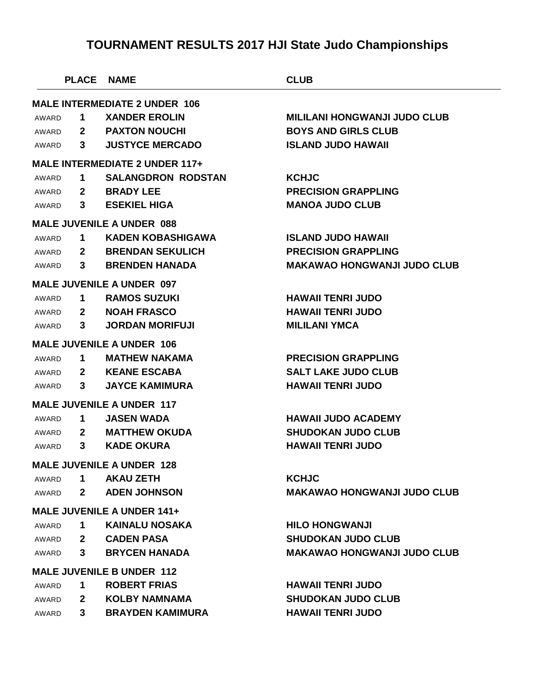|       | <b>PLACE</b> | <b>NAME</b>                           | <b>CLUB</b>                         |
|-------|--------------|---------------------------------------|-------------------------------------|
|       |              | <b>MALE INTERMEDIATE 2 UNDER 106</b>  |                                     |
| AWARD | 1            | <b>XANDER EROLIN</b>                  | <b>MILILANI HONGWANJI JUDO CLUB</b> |
| AWARD | $\mathbf{2}$ | <b>PAXTON NOUCHI</b>                  | <b>BOYS AND GIRLS CLUB</b>          |
| AWARD | $3^{\circ}$  | <b>JUSTYCE MERCADO</b>                | <b>ISLAND JUDO HAWAII</b>           |
|       |              | <b>MALE INTERMEDIATE 2 UNDER 117+</b> |                                     |
| AWARD | 1            | <b>SALANGDRON RODSTAN</b>             | <b>KCHJC</b>                        |
| AWARD | $\mathbf{2}$ | <b>BRADY LEE</b>                      | <b>PRECISION GRAPPLING</b>          |
| AWARD | 3            | <b>ESEKIEL HIGA</b>                   | <b>MANOA JUDO CLUB</b>              |
|       |              | <b>MALE JUVENILE A UNDER 088</b>      |                                     |
| AWARD | 1            | KADEN KOBASHIGAWA                     | <b>ISLAND JUDO HAWAII</b>           |
| AWARD | $\mathbf{2}$ | <b>BRENDAN SEKULICH</b>               | <b>PRECISION GRAPPLING</b>          |
| AWARD | 3            | <b>BRENDEN HANADA</b>                 | <b>MAKAWAO HONGWANJI JUDO CLUB</b>  |
|       |              | <b>MALE JUVENILE A UNDER 097</b>      |                                     |
| AWARD | 1            | <b>RAMOS SUZUKI</b>                   | <b>HAWAII TENRI JUDO</b>            |
| AWARD | $\mathbf{2}$ | <b>NOAH FRASCO</b>                    | <b>HAWAII TENRI JUDO</b>            |
| AWARD | 3            | <b>JORDAN MORIFUJI</b>                | <b>MILILANI YMCA</b>                |
|       |              | <b>MALE JUVENILE A UNDER 106</b>      |                                     |
| AWARD | 1            | <b>MATHEW NAKAMA</b>                  | <b>PRECISION GRAPPLING</b>          |
| AWARD | $\mathbf{2}$ | <b>KEANE ESCABA</b>                   | <b>SALT LAKE JUDO CLUB</b>          |
| AWARD | 3            | <b>JAYCE KAMIMURA</b>                 | <b>HAWAII TENRI JUDO</b>            |
|       |              | <b>MALE JUVENILE A UNDER 117</b>      |                                     |
| AWARD | 1            | <b>JASEN WADA</b>                     | <b>HAWAII JUDO ACADEMY</b>          |
| AWARD | $\mathbf{2}$ | <b>MATTHEW OKUDA</b>                  | <b>SHUDOKAN JUDO CLUB</b>           |
| AWARD | 3            | <b>KADE OKURA</b>                     | <b>HAWAII TENRI JUDO</b>            |
|       |              | <b>MALE JUVENILE A UNDER 128</b>      |                                     |
| AWARD |              | 1 AKAU ZETH                           | <b>KCHJC</b>                        |
| AWARD |              | <b>2</b> ADEN JOHNSON                 | <b>MAKAWAO HONGWANJI JUDO CLUB</b>  |
|       |              | <b>MALE JUVENILE A UNDER 141+</b>     |                                     |
| AWARD | $\mathbf 1$  | KAINALU NOSAKA                        | <b>HILO HONGWANJI</b>               |
| AWARD |              | 2 CADEN PASA                          | <b>SHUDOKAN JUDO CLUB</b>           |
| AWARD |              | 3 BRYCEN HANADA                       | <b>MAKAWAO HONGWANJI JUDO CLUB</b>  |
|       |              | <b>MALE JUVENILE B UNDER 112</b>      |                                     |
| AWARD | $\mathbf 1$  | <b>ROBERT FRIAS</b>                   | <b>HAWAII TENRI JUDO</b>            |
| AWARD | $2^{\circ}$  | KOLBY NAMNAMA                         | <b>SHUDOKAN JUDO CLUB</b>           |
| AWARD | $3^{\circ}$  | <b>BRAYDEN KAMIMURA</b>               | <b>HAWAII TENRI JUDO</b>            |
|       |              |                                       |                                     |